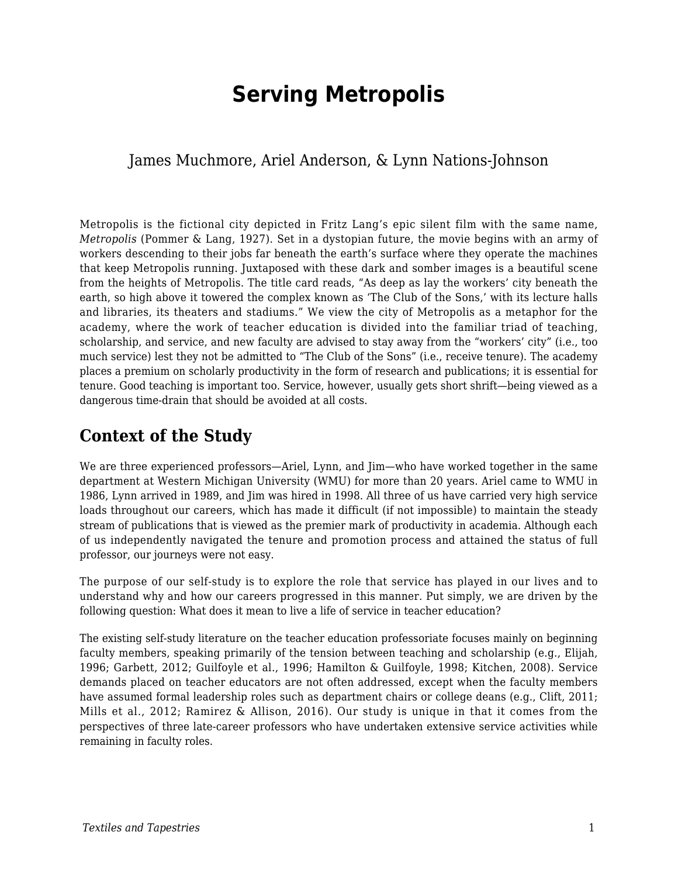# **Serving Metropolis**

### James Muchmore, Ariel Anderson, & Lynn Nations-Johnson

Metropolis is the fictional city depicted in Fritz Lang's epic silent film with the same name, *Metropolis* (Pommer & Lang, 1927). Set in a dystopian future, the movie begins with an army of workers descending to their jobs far beneath the earth's surface where they operate the machines that keep Metropolis running. Juxtaposed with these dark and somber images is a beautiful scene from the heights of Metropolis. The title card reads, "As deep as lay the workers' city beneath the earth, so high above it towered the complex known as 'The Club of the Sons,' with its lecture halls and libraries, its theaters and stadiums." We view the city of Metropolis as a metaphor for the academy, where the work of teacher education is divided into the familiar triad of teaching, scholarship, and service, and new faculty are advised to stay away from the "workers' city" (i.e., too much service) lest they not be admitted to "The Club of the Sons" (i.e., receive tenure). The academy places a premium on scholarly productivity in the form of research and publications; it is essential for tenure. Good teaching is important too. Service, however, usually gets short shrift—being viewed as a dangerous time-drain that should be avoided at all costs.

### **Context of the Study**

We are three experienced professors—Ariel, Lynn, and Jim—who have worked together in the same department at Western Michigan University (WMU) for more than 20 years. Ariel came to WMU in 1986, Lynn arrived in 1989, and Jim was hired in 1998. All three of us have carried very high service loads throughout our careers, which has made it difficult (if not impossible) to maintain the steady stream of publications that is viewed as the premier mark of productivity in academia. Although each of us independently navigated the tenure and promotion process and attained the status of full professor, our journeys were not easy.

The purpose of our self-study is to explore the role that service has played in our lives and to understand why and how our careers progressed in this manner. Put simply, we are driven by the following question: What does it mean to live a life of service in teacher education?

The existing self-study literature on the teacher education professoriate focuses mainly on beginning faculty members, speaking primarily of the tension between teaching and scholarship (e.g., Elijah, 1996; Garbett, 2012; Guilfoyle et al., 1996; Hamilton & Guilfoyle, 1998; Kitchen, 2008). Service demands placed on teacher educators are not often addressed, except when the faculty members have assumed formal leadership roles such as department chairs or college deans (e.g., Clift, 2011; Mills et al., 2012; Ramirez & Allison, 2016). Our study is unique in that it comes from the perspectives of three late-career professors who have undertaken extensive service activities while remaining in faculty roles.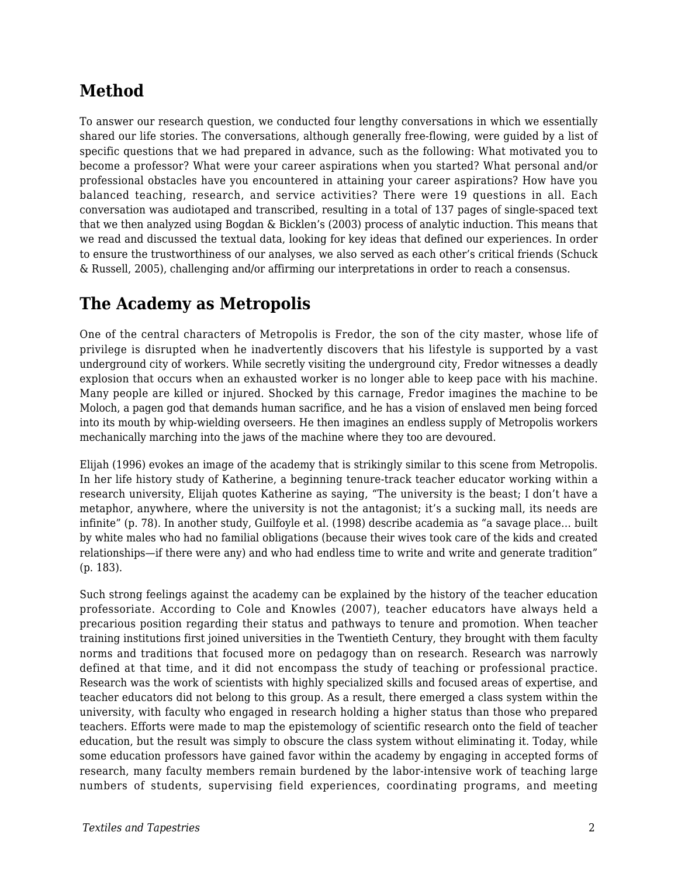# **Method**

To answer our research question, we conducted four lengthy conversations in which we essentially shared our life stories. The conversations, although generally free-flowing, were guided by a list of specific questions that we had prepared in advance, such as the following: What motivated you to become a professor? What were your career aspirations when you started? What personal and/or professional obstacles have you encountered in attaining your career aspirations? How have you balanced teaching, research, and service activities? There were 19 questions in all. Each conversation was audiotaped and transcribed, resulting in a total of 137 pages of single-spaced text that we then analyzed using Bogdan & Bicklen's (2003) process of analytic induction. This means that we read and discussed the textual data, looking for key ideas that defined our experiences. In order to ensure the trustworthiness of our analyses, we also served as each other's critical friends (Schuck & Russell, 2005), challenging and/or affirming our interpretations in order to reach a consensus.

## **The Academy as Metropolis**

One of the central characters of Metropolis is Fredor, the son of the city master, whose life of privilege is disrupted when he inadvertently discovers that his lifestyle is supported by a vast underground city of workers. While secretly visiting the underground city, Fredor witnesses a deadly explosion that occurs when an exhausted worker is no longer able to keep pace with his machine. Many people are killed or injured. Shocked by this carnage, Fredor imagines the machine to be Moloch, a pagen god that demands human sacrifice, and he has a vision of enslaved men being forced into its mouth by whip-wielding overseers. He then imagines an endless supply of Metropolis workers mechanically marching into the jaws of the machine where they too are devoured.

Elijah (1996) evokes an image of the academy that is strikingly similar to this scene from Metropolis. In her life history study of Katherine, a beginning tenure-track teacher educator working within a research university, Elijah quotes Katherine as saying, "The university is the beast; I don't have a metaphor, anywhere, where the university is not the antagonist; it's a sucking mall, its needs are infinite" (p. 78). In another study, Guilfoyle et al. (1998) describe academia as "a savage place… built by white males who had no familial obligations (because their wives took care of the kids and created relationships—if there were any) and who had endless time to write and write and generate tradition" (p. 183).

Such strong feelings against the academy can be explained by the history of the teacher education professoriate. According to Cole and Knowles (2007), teacher educators have always held a precarious position regarding their status and pathways to tenure and promotion. When teacher training institutions first joined universities in the Twentieth Century, they brought with them faculty norms and traditions that focused more on pedagogy than on research. Research was narrowly defined at that time, and it did not encompass the study of teaching or professional practice. Research was the work of scientists with highly specialized skills and focused areas of expertise, and teacher educators did not belong to this group. As a result, there emerged a class system within the university, with faculty who engaged in research holding a higher status than those who prepared teachers. Efforts were made to map the epistemology of scientific research onto the field of teacher education, but the result was simply to obscure the class system without eliminating it. Today, while some education professors have gained favor within the academy by engaging in accepted forms of research, many faculty members remain burdened by the labor-intensive work of teaching large numbers of students, supervising field experiences, coordinating programs, and meeting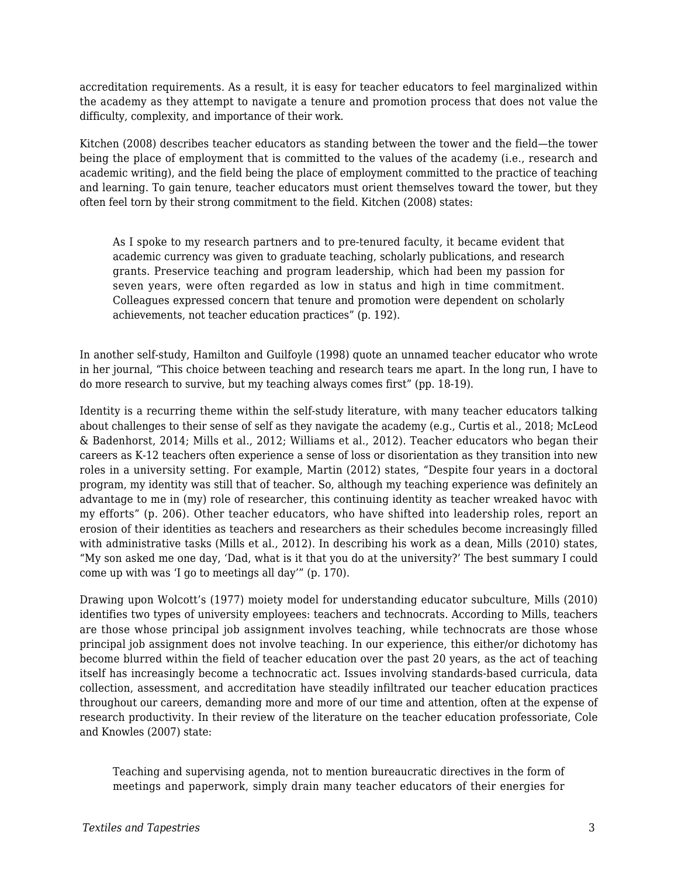accreditation requirements. As a result, it is easy for teacher educators to feel marginalized within the academy as they attempt to navigate a tenure and promotion process that does not value the difficulty, complexity, and importance of their work.

Kitchen (2008) describes teacher educators as standing between the tower and the field—the tower being the place of employment that is committed to the values of the academy (i.e., research and academic writing), and the field being the place of employment committed to the practice of teaching and learning. To gain tenure, teacher educators must orient themselves toward the tower, but they often feel torn by their strong commitment to the field. Kitchen (2008) states:

As I spoke to my research partners and to pre-tenured faculty, it became evident that academic currency was given to graduate teaching, scholarly publications, and research grants. Preservice teaching and program leadership, which had been my passion for seven years, were often regarded as low in status and high in time commitment. Colleagues expressed concern that tenure and promotion were dependent on scholarly achievements, not teacher education practices" (p. 192).

In another self-study, Hamilton and Guilfoyle (1998) quote an unnamed teacher educator who wrote in her journal, "This choice between teaching and research tears me apart. In the long run, I have to do more research to survive, but my teaching always comes first" (pp. 18-19).

Identity is a recurring theme within the self-study literature, with many teacher educators talking about challenges to their sense of self as they navigate the academy (e.g., Curtis et al., 2018; McLeod & Badenhorst, 2014; Mills et al., 2012; Williams et al., 2012). Teacher educators who began their careers as K-12 teachers often experience a sense of loss or disorientation as they transition into new roles in a university setting. For example, Martin (2012) states, "Despite four years in a doctoral program, my identity was still that of teacher. So, although my teaching experience was definitely an advantage to me in (my) role of researcher, this continuing identity as teacher wreaked havoc with my efforts" (p. 206). Other teacher educators, who have shifted into leadership roles, report an erosion of their identities as teachers and researchers as their schedules become increasingly filled with administrative tasks (Mills et al., 2012). In describing his work as a dean, Mills (2010) states, "My son asked me one day, 'Dad, what is it that you do at the university?' The best summary I could come up with was 'I go to meetings all day'" (p. 170).

Drawing upon Wolcott's (1977) moiety model for understanding educator subculture, Mills (2010) identifies two types of university employees: teachers and technocrats. According to Mills, teachers are those whose principal job assignment involves teaching, while technocrats are those whose principal job assignment does not involve teaching. In our experience, this either/or dichotomy has become blurred within the field of teacher education over the past 20 years, as the act of teaching itself has increasingly become a technocratic act. Issues involving standards-based curricula, data collection, assessment, and accreditation have steadily infiltrated our teacher education practices throughout our careers, demanding more and more of our time and attention, often at the expense of research productivity. In their review of the literature on the teacher education professoriate, Cole and Knowles (2007) state:

Teaching and supervising agenda, not to mention bureaucratic directives in the form of meetings and paperwork, simply drain many teacher educators of their energies for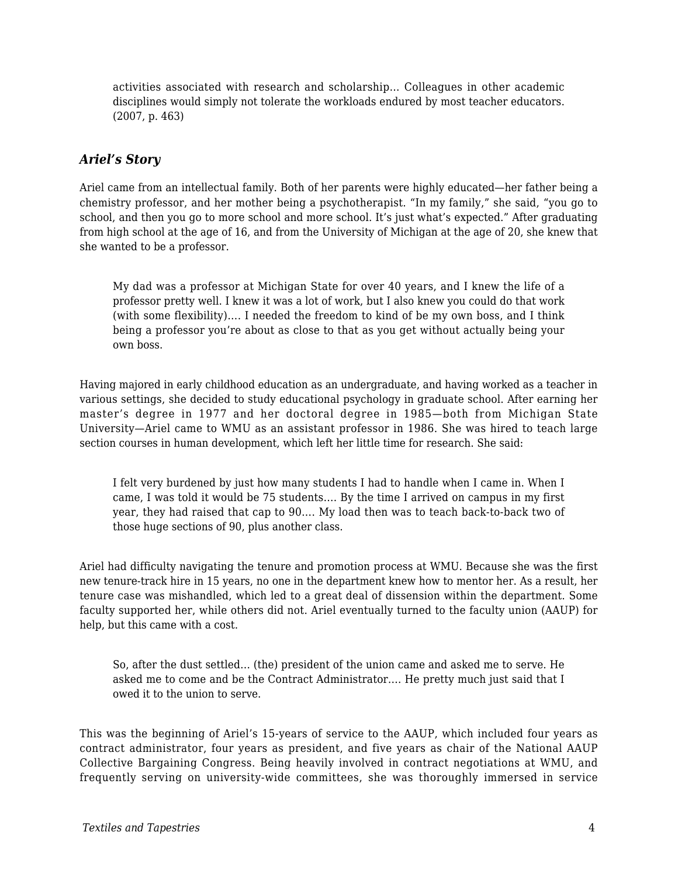activities associated with research and scholarship… Colleagues in other academic disciplines would simply not tolerate the workloads endured by most teacher educators. (2007, p. 463)

#### *Ariel's Story*

Ariel came from an intellectual family. Both of her parents were highly educated—her father being a chemistry professor, and her mother being a psychotherapist. "In my family," she said, "you go to school, and then you go to more school and more school. It's just what's expected." After graduating from high school at the age of 16, and from the University of Michigan at the age of 20, she knew that she wanted to be a professor.

My dad was a professor at Michigan State for over 40 years, and I knew the life of a professor pretty well. I knew it was a lot of work, but I also knew you could do that work (with some flexibility)…. I needed the freedom to kind of be my own boss, and I think being a professor you're about as close to that as you get without actually being your own boss.

Having majored in early childhood education as an undergraduate, and having worked as a teacher in various settings, she decided to study educational psychology in graduate school. After earning her master's degree in 1977 and her doctoral degree in 1985—both from Michigan State University—Ariel came to WMU as an assistant professor in 1986. She was hired to teach large section courses in human development, which left her little time for research. She said:

I felt very burdened by just how many students I had to handle when I came in. When I came, I was told it would be 75 students…. By the time I arrived on campus in my first year, they had raised that cap to 90…. My load then was to teach back-to-back two of those huge sections of 90, plus another class.

Ariel had difficulty navigating the tenure and promotion process at WMU. Because she was the first new tenure-track hire in 15 years, no one in the department knew how to mentor her. As a result, her tenure case was mishandled, which led to a great deal of dissension within the department. Some faculty supported her, while others did not. Ariel eventually turned to the faculty union (AAUP) for help, but this came with a cost.

So, after the dust settled… (the) president of the union came and asked me to serve. He asked me to come and be the Contract Administrator…. He pretty much just said that I owed it to the union to serve.

This was the beginning of Ariel's 15-years of service to the AAUP, which included four years as contract administrator, four years as president, and five years as chair of the National AAUP Collective Bargaining Congress. Being heavily involved in contract negotiations at WMU, and frequently serving on university-wide committees, she was thoroughly immersed in service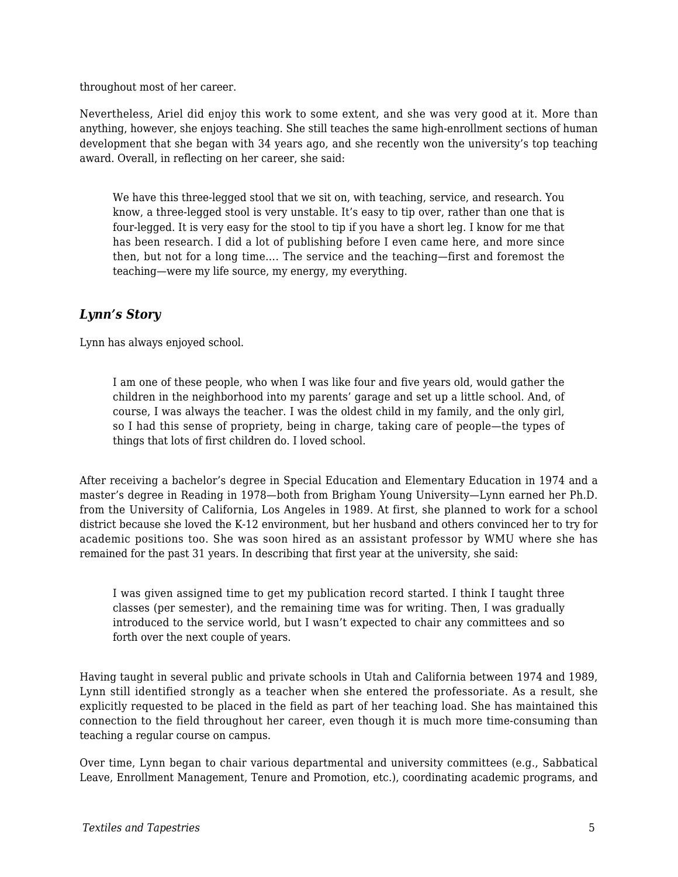throughout most of her career.

Nevertheless, Ariel did enjoy this work to some extent, and she was very good at it. More than anything, however, she enjoys teaching. She still teaches the same high-enrollment sections of human development that she began with 34 years ago, and she recently won the university's top teaching award. Overall, in reflecting on her career, she said:

We have this three-legged stool that we sit on, with teaching, service, and research. You know, a three-legged stool is very unstable. It's easy to tip over, rather than one that is four-legged. It is very easy for the stool to tip if you have a short leg. I know for me that has been research. I did a lot of publishing before I even came here, and more since then, but not for a long time…. The service and the teaching—first and foremost the teaching—were my life source, my energy, my everything.

#### *Lynn's Story*

Lynn has always enjoyed school.

I am one of these people, who when I was like four and five years old, would gather the children in the neighborhood into my parents' garage and set up a little school. And, of course, I was always the teacher. I was the oldest child in my family, and the only girl, so I had this sense of propriety, being in charge, taking care of people—the types of things that lots of first children do. I loved school.

After receiving a bachelor's degree in Special Education and Elementary Education in 1974 and a master's degree in Reading in 1978—both from Brigham Young University—Lynn earned her Ph.D. from the University of California, Los Angeles in 1989. At first, she planned to work for a school district because she loved the K-12 environment, but her husband and others convinced her to try for academic positions too. She was soon hired as an assistant professor by WMU where she has remained for the past 31 years. In describing that first year at the university, she said:

I was given assigned time to get my publication record started. I think I taught three classes (per semester), and the remaining time was for writing. Then, I was gradually introduced to the service world, but I wasn't expected to chair any committees and so forth over the next couple of years.

Having taught in several public and private schools in Utah and California between 1974 and 1989, Lynn still identified strongly as a teacher when she entered the professoriate. As a result, she explicitly requested to be placed in the field as part of her teaching load. She has maintained this connection to the field throughout her career, even though it is much more time-consuming than teaching a regular course on campus.

Over time, Lynn began to chair various departmental and university committees (e.g., Sabbatical Leave, Enrollment Management, Tenure and Promotion, etc.), coordinating academic programs, and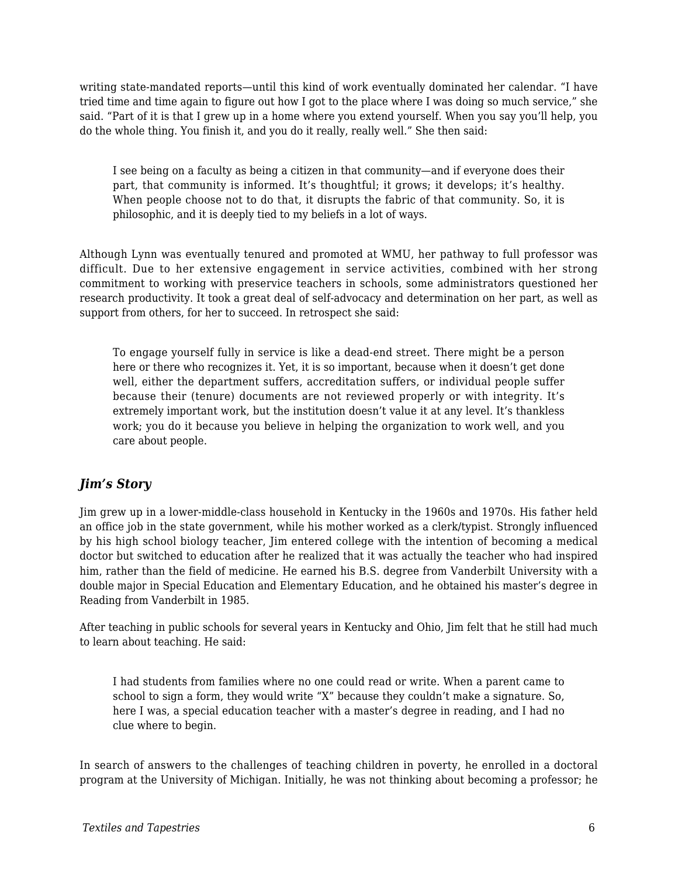writing state-mandated reports—until this kind of work eventually dominated her calendar. "I have tried time and time again to figure out how I got to the place where I was doing so much service," she said. "Part of it is that I grew up in a home where you extend yourself. When you say you'll help, you do the whole thing. You finish it, and you do it really, really well." She then said:

I see being on a faculty as being a citizen in that community—and if everyone does their part, that community is informed. It's thoughtful; it grows; it develops; it's healthy. When people choose not to do that, it disrupts the fabric of that community. So, it is philosophic, and it is deeply tied to my beliefs in a lot of ways.

Although Lynn was eventually tenured and promoted at WMU, her pathway to full professor was difficult. Due to her extensive engagement in service activities, combined with her strong commitment to working with preservice teachers in schools, some administrators questioned her research productivity. It took a great deal of self-advocacy and determination on her part, as well as support from others, for her to succeed. In retrospect she said:

To engage yourself fully in service is like a dead-end street. There might be a person here or there who recognizes it. Yet, it is so important, because when it doesn't get done well, either the department suffers, accreditation suffers, or individual people suffer because their (tenure) documents are not reviewed properly or with integrity. It's extremely important work, but the institution doesn't value it at any level. It's thankless work; you do it because you believe in helping the organization to work well, and you care about people.

#### *Jim's Story*

Jim grew up in a lower-middle-class household in Kentucky in the 1960s and 1970s. His father held an office job in the state government, while his mother worked as a clerk/typist. Strongly influenced by his high school biology teacher, Jim entered college with the intention of becoming a medical doctor but switched to education after he realized that it was actually the teacher who had inspired him, rather than the field of medicine. He earned his B.S. degree from Vanderbilt University with a double major in Special Education and Elementary Education, and he obtained his master's degree in Reading from Vanderbilt in 1985.

After teaching in public schools for several years in Kentucky and Ohio, Jim felt that he still had much to learn about teaching. He said:

I had students from families where no one could read or write. When a parent came to school to sign a form, they would write "X" because they couldn't make a signature. So, here I was, a special education teacher with a master's degree in reading, and I had no clue where to begin.

In search of answers to the challenges of teaching children in poverty, he enrolled in a doctoral program at the University of Michigan. Initially, he was not thinking about becoming a professor; he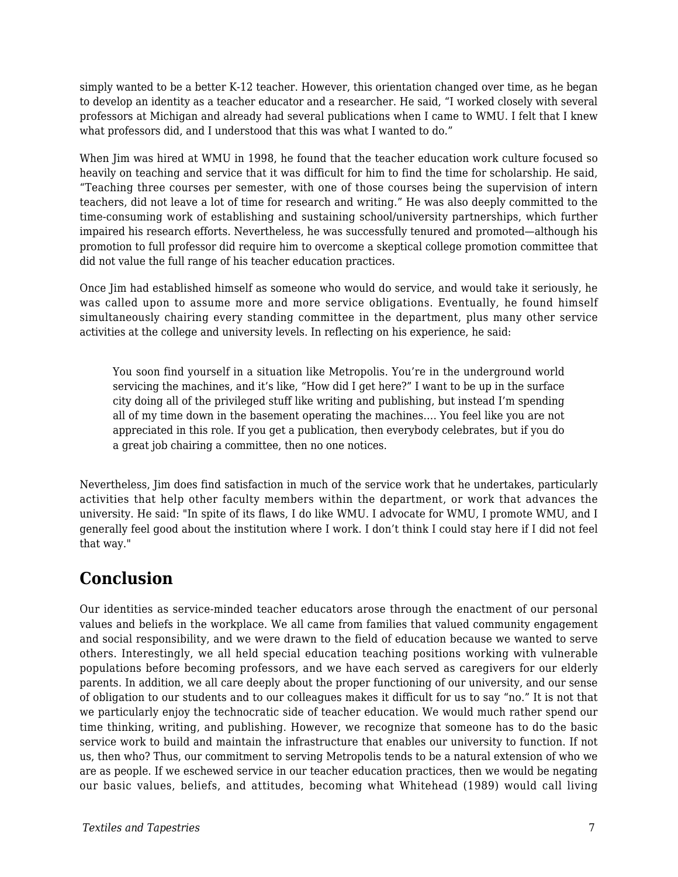simply wanted to be a better K-12 teacher. However, this orientation changed over time, as he began to develop an identity as a teacher educator and a researcher. He said, "I worked closely with several professors at Michigan and already had several publications when I came to WMU. I felt that I knew what professors did, and I understood that this was what I wanted to do."

When Jim was hired at WMU in 1998, he found that the teacher education work culture focused so heavily on teaching and service that it was difficult for him to find the time for scholarship. He said, "Teaching three courses per semester, with one of those courses being the supervision of intern teachers, did not leave a lot of time for research and writing." He was also deeply committed to the time-consuming work of establishing and sustaining school/university partnerships, which further impaired his research efforts. Nevertheless, he was successfully tenured and promoted—although his promotion to full professor did require him to overcome a skeptical college promotion committee that did not value the full range of his teacher education practices.

Once Jim had established himself as someone who would do service, and would take it seriously, he was called upon to assume more and more service obligations. Eventually, he found himself simultaneously chairing every standing committee in the department, plus many other service activities at the college and university levels. In reflecting on his experience, he said:

You soon find yourself in a situation like Metropolis. You're in the underground world servicing the machines, and it's like, "How did I get here?" I want to be up in the surface city doing all of the privileged stuff like writing and publishing, but instead I'm spending all of my time down in the basement operating the machines…. You feel like you are not appreciated in this role. If you get a publication, then everybody celebrates, but if you do a great job chairing a committee, then no one notices.

Nevertheless, Jim does find satisfaction in much of the service work that he undertakes, particularly activities that help other faculty members within the department, or work that advances the university. He said: "In spite of its flaws, I do like WMU. I advocate for WMU, I promote WMU, and I generally feel good about the institution where I work. I don't think I could stay here if I did not feel that way."

### **Conclusion**

Our identities as service-minded teacher educators arose through the enactment of our personal values and beliefs in the workplace. We all came from families that valued community engagement and social responsibility, and we were drawn to the field of education because we wanted to serve others. Interestingly, we all held special education teaching positions working with vulnerable populations before becoming professors, and we have each served as caregivers for our elderly parents. In addition, we all care deeply about the proper functioning of our university, and our sense of obligation to our students and to our colleagues makes it difficult for us to say "no." It is not that we particularly enjoy the technocratic side of teacher education. We would much rather spend our time thinking, writing, and publishing. However, we recognize that someone has to do the basic service work to build and maintain the infrastructure that enables our university to function. If not us, then who? Thus, our commitment to serving Metropolis tends to be a natural extension of who we are as people. If we eschewed service in our teacher education practices, then we would be negating our basic values, beliefs, and attitudes, becoming what Whitehead (1989) would call living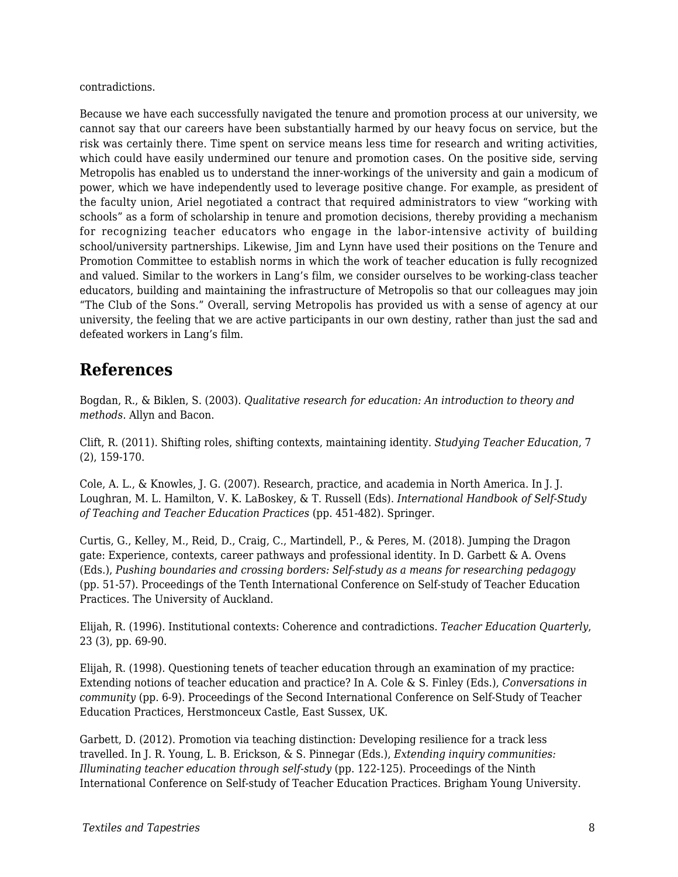contradictions.

Because we have each successfully navigated the tenure and promotion process at our university, we cannot say that our careers have been substantially harmed by our heavy focus on service, but the risk was certainly there. Time spent on service means less time for research and writing activities, which could have easily undermined our tenure and promotion cases. On the positive side, serving Metropolis has enabled us to understand the inner-workings of the university and gain a modicum of power, which we have independently used to leverage positive change. For example, as president of the faculty union, Ariel negotiated a contract that required administrators to view "working with schools" as a form of scholarship in tenure and promotion decisions, thereby providing a mechanism for recognizing teacher educators who engage in the labor-intensive activity of building school/university partnerships. Likewise, Jim and Lynn have used their positions on the Tenure and Promotion Committee to establish norms in which the work of teacher education is fully recognized and valued. Similar to the workers in Lang's film, we consider ourselves to be working-class teacher educators, building and maintaining the infrastructure of Metropolis so that our colleagues may join "The Club of the Sons." Overall, serving Metropolis has provided us with a sense of agency at our university, the feeling that we are active participants in our own destiny, rather than just the sad and defeated workers in Lang's film.

### **References**

Bogdan, R., & Biklen, S. (2003). *Qualitative research for education: An introduction to theory and methods*. Allyn and Bacon.

Clift, R. (2011). Shifting roles, shifting contexts, maintaining identity. *Studying Teacher Education*, 7 (2), 159-170.

Cole, A. L., & Knowles, J. G. (2007). Research, practice, and academia in North America. In J. J. Loughran, M. L. Hamilton, V. K. LaBoskey, & T. Russell (Eds). *International Handbook of Self-Study of Teaching and Teacher Education Practices* (pp. 451-482). Springer.

Curtis, G., Kelley, M., Reid, D., Craig, C., Martindell, P., & Peres, M. (2018). Jumping the Dragon gate: Experience, contexts, career pathways and professional identity. In D. Garbett & A. Ovens (Eds.), *Pushing boundaries and crossing borders: Self-study as a means for researching pedagogy* (pp. 51-57). Proceedings of the Tenth International Conference on Self-study of Teacher Education Practices. The University of Auckland.

Elijah, R. (1996). Institutional contexts: Coherence and contradictions. *Teacher Education Quarterly*, 23 (3), pp. 69-90.

Elijah, R. (1998). Questioning tenets of teacher education through an examination of my practice: Extending notions of teacher education and practice? In A. Cole & S. Finley (Eds.), *Conversations in community* (pp. 6-9). Proceedings of the Second International Conference on Self-Study of Teacher Education Practices, Herstmonceux Castle, East Sussex, UK.

Garbett, D. (2012). Promotion via teaching distinction: Developing resilience for a track less travelled. In J. R. Young, L. B. Erickson, & S. Pinnegar (Eds.), *Extending inquiry communities: Illuminating teacher education through self-study* (pp. 122-125). Proceedings of the Ninth International Conference on Self-study of Teacher Education Practices. Brigham Young University.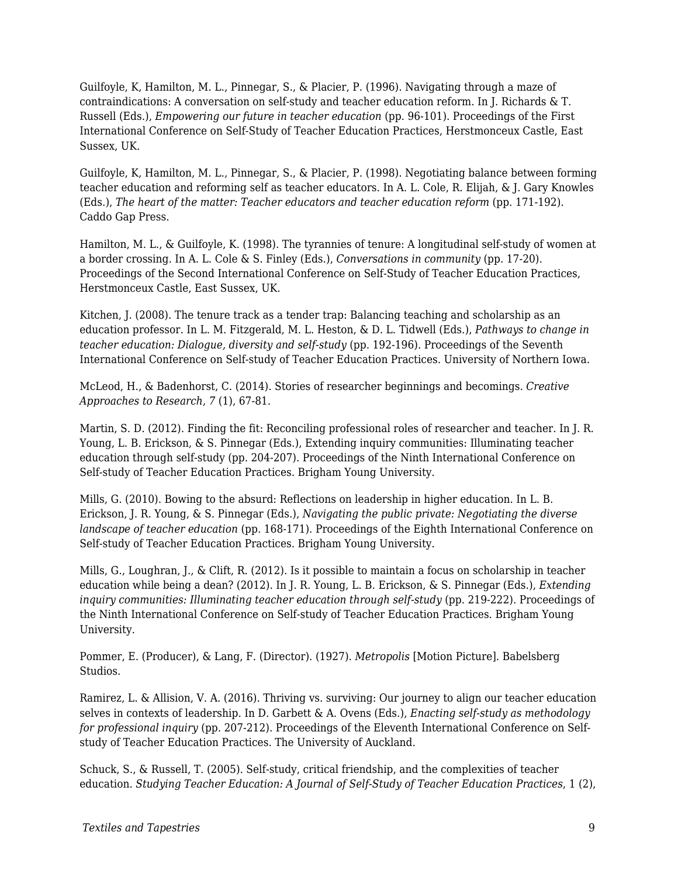Guilfoyle, K, Hamilton, M. L., Pinnegar, S., & Placier, P. (1996). Navigating through a maze of contraindications: A conversation on self-study and teacher education reform. In J. Richards & T. Russell (Eds.), *Empowering our future in teacher education* (pp. 96-101). Proceedings of the First International Conference on Self-Study of Teacher Education Practices, Herstmonceux Castle, East Sussex, UK.

Guilfoyle, K, Hamilton, M. L., Pinnegar, S., & Placier, P. (1998). Negotiating balance between forming teacher education and reforming self as teacher educators. In A. L. Cole, R. Elijah, & J. Gary Knowles (Eds.), *The heart of the matter: Teacher educators and teacher education reform* (pp. 171-192). Caddo Gap Press.

Hamilton, M. L., & Guilfoyle, K. (1998). The tyrannies of tenure: A longitudinal self-study of women at a border crossing. In A. L. Cole & S. Finley (Eds.), *Conversations in community* (pp. 17-20). Proceedings of the Second International Conference on Self-Study of Teacher Education Practices, Herstmonceux Castle, East Sussex, UK.

Kitchen, J. (2008). The tenure track as a tender trap: Balancing teaching and scholarship as an education professor. In L. M. Fitzgerald, M. L. Heston, & D. L. Tidwell (Eds.), *Pathways to change in teacher education: Dialogue, diversity and self-study* (pp. 192-196). Proceedings of the Seventh International Conference on Self-study of Teacher Education Practices. University of Northern Iowa.

McLeod, H., & Badenhorst, C. (2014). Stories of researcher beginnings and becomings. *Creative Approaches to Research*, *7* (1), 67-81.

Martin, S. D. (2012). Finding the fit: Reconciling professional roles of researcher and teacher. In J. R. Young, L. B. Erickson, & S. Pinnegar (Eds.), Extending inquiry communities: Illuminating teacher education through self-study (pp. 204-207). Proceedings of the Ninth International Conference on Self-study of Teacher Education Practices. Brigham Young University.

Mills, G. (2010). Bowing to the absurd: Reflections on leadership in higher education. In L. B. Erickson, J. R. Young, & S. Pinnegar (Eds.), *Navigating the public private: Negotiating the diverse landscape of teacher education* (pp. 168-171). Proceedings of the Eighth International Conference on Self-study of Teacher Education Practices. Brigham Young University.

Mills, G., Loughran, J., & Clift, R. (2012). Is it possible to maintain a focus on scholarship in teacher education while being a dean? (2012). In J. R. Young, L. B. Erickson, & S. Pinnegar (Eds.), *Extending inquiry communities: Illuminating teacher education through self-study (pp. 219-222). Proceedings of* the Ninth International Conference on Self-study of Teacher Education Practices. Brigham Young University.

Pommer, E. (Producer), & Lang, F. (Director). (1927). *Metropolis* [Motion Picture]. Babelsberg Studios.

Ramirez, L. & Allision, V. A. (2016). Thriving vs. surviving: Our journey to align our teacher education selves in contexts of leadership. In D. Garbett & A. Ovens (Eds.), *Enacting self-study as methodology for professional inquiry* (pp. 207-212). Proceedings of the Eleventh International Conference on Selfstudy of Teacher Education Practices. The University of Auckland.

Schuck, S., & Russell, T. (2005). Self-study, critical friendship, and the complexities of teacher education. *Studying Teacher Education: A Journal of Self-Study of Teacher Education Practices*, 1 (2),